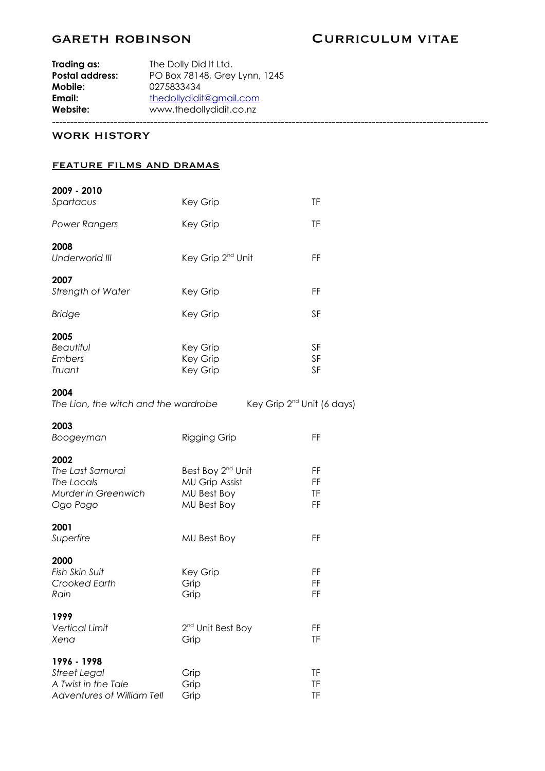# GARETH ROBINSON CURRICULUM VITAE

| Website:               | www.thedollydidit.co.nz       |
|------------------------|-------------------------------|
| Email:                 | thedollydidit@gmail.com       |
| Mobile:                | 0275833434                    |
| <b>Postal address:</b> | PO Box 78148, Grey Lynn, 1245 |
| Trading as:            | The Dolly Did It Ltd.         |

### WORK HISTORY

#### feature films and dramas

| 2009 - 2010<br>Spartacus                                                                | Key Grip                                                                             | <b>TF</b>                   |
|-----------------------------------------------------------------------------------------|--------------------------------------------------------------------------------------|-----------------------------|
| <b>Power Rangers</b>                                                                    | Key Grip                                                                             | <b>TF</b>                   |
| 2008<br>Underworld III                                                                  | Key Grip 2 <sup>nd</sup> Unit                                                        | FF                          |
| 2007<br>Strength of Water                                                               | Key Grip                                                                             | FF                          |
| <b>Bridge</b>                                                                           | Key Grip                                                                             | SF                          |
| 2005<br><b>Beautiful</b><br>Embers<br>Truant                                            | Key Grip<br>Key Grip<br>Key Grip                                                     | SF<br>SF<br>SF              |
| 2004<br>The Lion, the witch and the wardrobe                                            | Key Grip 2 <sup>nd</sup> Unit (6 days)                                               |                             |
| 2003<br>Boogeyman                                                                       | <b>Rigging Grip</b>                                                                  | FF                          |
| 2002<br>The Last Samurai<br>The Locals<br>Murder in Greenwich<br>Ogo Pogo               | Best Boy 2 <sup>nd</sup> Unit<br><b>MU Grip Assist</b><br>MU Best Boy<br>MU Best Boy | FF<br>FF<br><b>TF</b><br>FF |
| 2001<br>Superfire                                                                       | MU Best Boy                                                                          | FF                          |
| 2000<br>Fish Skin Suit<br>Crooked Earth<br>Rain                                         | Key Grip<br>Grip<br>Grip                                                             | FF<br>FF<br>FF              |
| 1999<br><b>Vertical Limit</b><br>Xena                                                   | 2 <sup>nd</sup> Unit Best Boy<br>Grip                                                | FF<br><b>TF</b>             |
| 1996 - 1998<br><b>Street Legal</b><br>A Twist in the Tale<br>Adventures of William Tell | Grip<br>Grip<br>Grip                                                                 | ΤF<br><b>TF</b><br>TF       |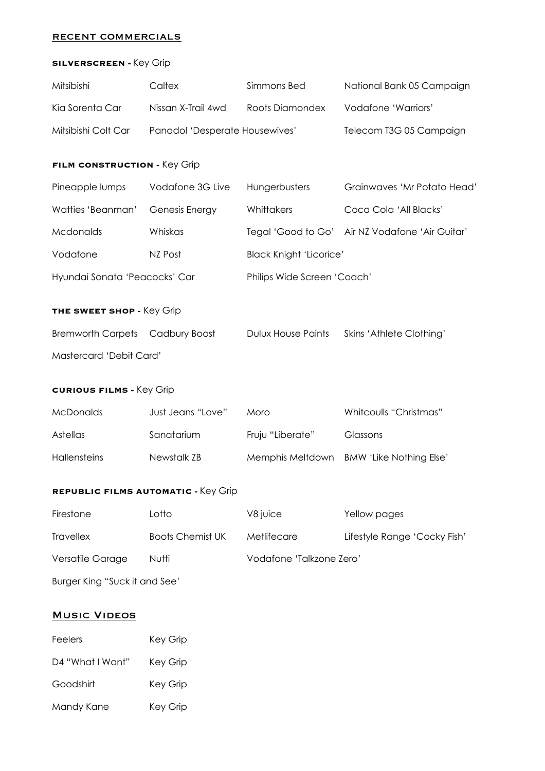## recent commercials

### **SILVERSCREEN -** Key Grip

| Mitsibishi                                 | Caltex                         | Simmons Bed                            | National Bank 05 Campaign      |  |  |  |
|--------------------------------------------|--------------------------------|----------------------------------------|--------------------------------|--|--|--|
| Kia Sorenta Car                            | Nissan X-Trail 4wd             | Roots Diamondex<br>Vodafone 'Warriors' |                                |  |  |  |
| Mitsibishi Colt Car                        | Panadol 'Desperate Housewives' |                                        | Telecom T3G 05 Campaign        |  |  |  |
| FILM CONSTRUCTION - Key Grip               |                                |                                        |                                |  |  |  |
| Pineapple lumps                            | Vodafone 3G Live               | Hungerbusters                          | Grainwaves 'Mr Potato Head'    |  |  |  |
| Watties 'Beanman'                          | Genesis Energy                 | Whittakers                             | Coca Cola 'All Blacks'         |  |  |  |
| Mcdonalds                                  | Whiskas                        | Tegal 'Good to Go'                     | Air NZ Vodafone 'Air Guitar'   |  |  |  |
| Vodafone                                   | NZ Post                        | <b>Black Knight 'Licorice'</b>         |                                |  |  |  |
| Hyundai Sonata 'Peacocks' Car              |                                | Philips Wide Screen 'Coach'            |                                |  |  |  |
| THE SWEET SHOP - Key Grip                  |                                |                                        |                                |  |  |  |
| <b>Bremworth Carpets</b>                   | Cadbury Boost                  | <b>Dulux House Paints</b>              | Skins 'Athlete Clothing'       |  |  |  |
| Mastercard 'Debit Card'                    |                                |                                        |                                |  |  |  |
| <b>CURIOUS FILMS - Key Grip</b>            |                                |                                        |                                |  |  |  |
|                                            | Just Jeans "Love"              |                                        |                                |  |  |  |
| <b>McDonalds</b>                           |                                | Moro                                   | Whitcoulls "Christmas"         |  |  |  |
| Astellas                                   | Sanatarium                     | Fruju "Liberate"                       | Glassons                       |  |  |  |
| <b>Hallensteins</b>                        | Newstalk ZB                    | Memphis Meltdown                       | <b>BMW 'Like Nothing Else'</b> |  |  |  |
| <b>REPUBLIC FILMS AUTOMATIC - Key Grip</b> |                                |                                        |                                |  |  |  |
| Firestone                                  | Lotto                          | V8 juice                               | Yellow pages                   |  |  |  |
| <b>Travellex</b>                           | <b>Boots Chemist UK</b>        | Metlifecare                            | Lifestyle Range 'Cocky Fish'   |  |  |  |
| Versatile Garage                           | Nutti                          | Vodafone 'Talkzone Zero'               |                                |  |  |  |
| Burger King "Suck it and See"              |                                |                                        |                                |  |  |  |

# **MUSIC VIDEOS**

| Feelers          | Key Grip |  |
|------------------|----------|--|
| D4 "What I Want" | Key Grip |  |
| Goodshirt        | Key Grip |  |
| Mandy Kane       | Key Grip |  |